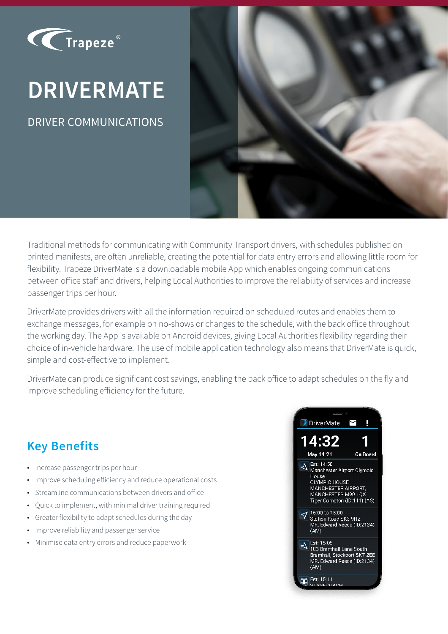

# **DRIVERMATE**

DRIVER COMMUNICATIONS



Traditional methods for communicating with Community Transport drivers, with schedules published on printed manifests, are often unreliable, creating the potential for data entry errors and allowing little room for flexibility. Trapeze DriverMate is a downloadable mobile App which enables ongoing communications between office staff and drivers, helping Local Authorities to improve the reliability of services and increase passenger trips per hour.

DriverMate provides drivers with all the information required on scheduled routes and enables them to exchange messages, for example on no-shows or changes to the schedule, with the back office throughout the working day. The App is available on Android devices, giving Local Authorities flexibility regarding their choice of in-vehicle hardware. The use of mobile application technology also means that DriverMate is quick, simple and cost-effective to implement.

DriverMate can produce significant cost savings, enabling the back office to adapt schedules on the fly and improve scheduling efficiency for the future.

### **Key Benefits**

- Increase passenger trips per hour
- Improve scheduling efficiency and reduce operational costs
- Streamline communications between drivers and office
- Quick to implement, with minimal driver training required
- Greater flexibility to adapt schedules during the day
- Improve reliability and passenger service
- Minimise data entry errors and reduce paperwork